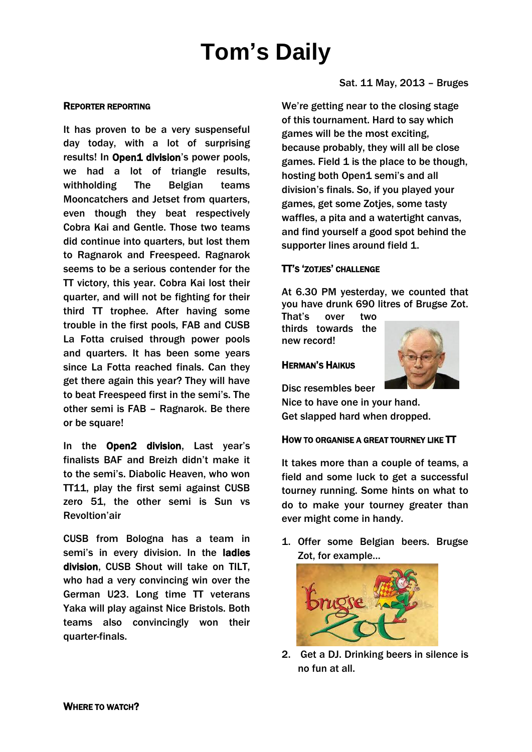# **Tom's Daily**

### REPORTER REPORTING

It has proven to be a very suspenseful day today, with a lot of surprising results! In Open1 division's power pools, we had a lot of triangle results, withholding The Belgian teams Mooncatchers and Jetset from quarters, even though they beat respectively Cobra Kai and Gentle. Those two teams did continue into quarters, but lost them to Ragnarok and Freespeed. Ragnarok seems to be a serious contender for the TT victory, this year. Cobra Kai lost their quarter, and will not be fighting for their third TT trophee. After having some trouble in the first pools, FAB and CUSB La Fotta cruised through power pools and quarters. It has been some years since La Fotta reached finals. Can they get there again this year? They will have to beat Freespeed first in the semi's. The other semi is FAB – Ragnarok. Be there or be square!

In the Open2 division, Last year's finalists BAF and Breizh didn't make it to the semi's. Diabolic Heaven, who won TT11, play the first semi against CUSB zero 51, the other semi is Sun vs Revoltion'air

CUSB from Bologna has a team in semi's in every division. In the ladies division, CUSB Shout will take on TILT, who had a very convincing win over the German U23. Long time TT veterans Yaka will play against Nice Bristols. Both teams also convincingly won their quarter-finals.

Sat. 11 May, 2013 – Bruges

We're getting near to the closing stage of this tournament. Hard to say which games will be the most exciting, because probably, they will all be close games. Field 1 is the place to be though, hosting both Open1 semi's and all division's finals. So, if you played your games, get some Zotjes, some tasty waffles, a pita and a watertight canvas, and find yourself a good spot behind the supporter lines around field 1.

### TT'S 'ZOTJES' CHALLENGE

At 6.30 PM yesterday, we counted that you have drunk 690 litres of Brugse Zot.

That's over two thirds towards the new record!

HERMAN'S HAIKUS

Disc resembles beer

Nice to have one in your hand. Get slapped hard when dropped.

### HOW TO ORGANISE A GREAT TOURNEY LIKE TT

It takes more than a couple of teams, a field and some luck to get a successful tourney running. Some hints on what to do to make your tourney greater than ever might come in handy.

1. Offer some Belgian beers. Brugse Zot, for example…



2. Get a DJ. Drinking beers in silence is no fun at all.